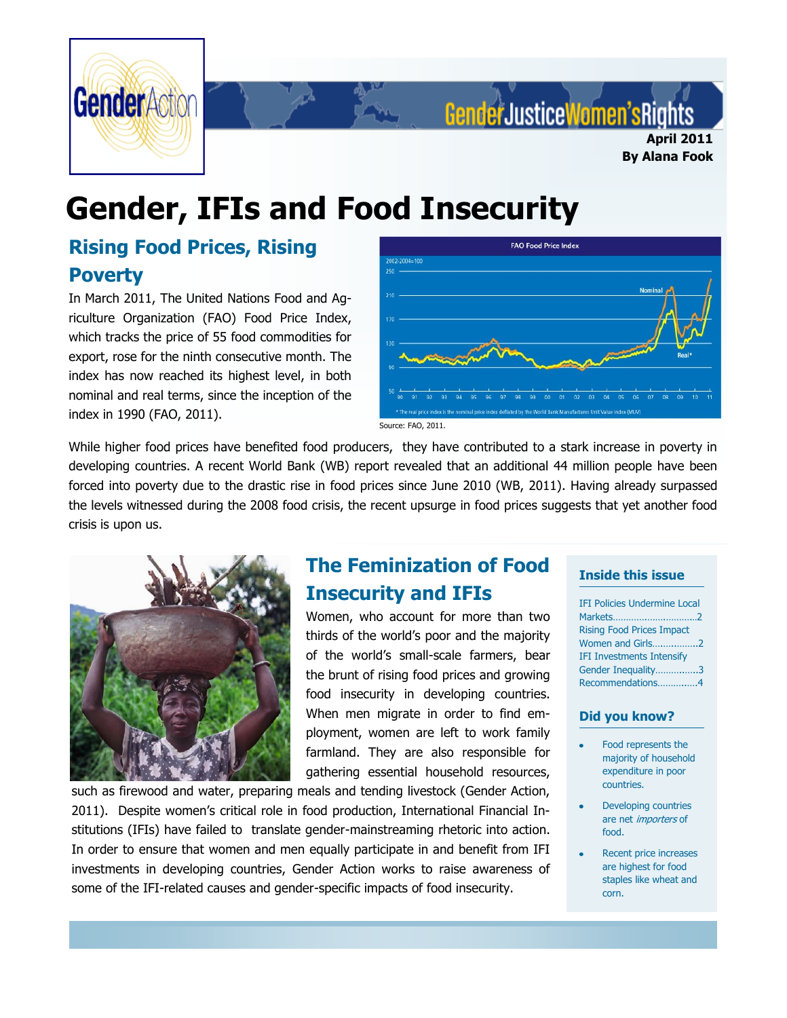

# GenderJusticeWomen'sRig **April 2011**

**By Alana Fook**

# **Gender, IFIs and Food Insecurity**

# **Rising Food Prices, Rising Poverty**

In March 2011, The United Nations Food and Agriculture Organization (FAO) Food Price Index, which tracks the price of 55 food commodities for export, rose for the ninth consecutive month. The index has now reached its highest level, in both nominal and real terms, since the inception of the index in 1990 (FAO, 2011).



Source: FAO, 2011.

While higher food prices have benefited food producers, they have contributed to a stark increase in poverty in developing countries. A recent World Bank (WB) report revealed that an additional 44 million people have been forced into poverty due to the drastic rise in food prices since June 2010 (WB, 2011). Having already surpassed the levels witnessed during the 2008 food crisis, the recent upsurge in food prices suggests that yet another food crisis is upon us.



# **The Feminization of Food Insecurity and IFIs**

Women, who account for more than two thirds of the world"s poor and the majority of the world"s small-scale farmers, bear the brunt of rising food prices and growing food insecurity in developing countries. When men migrate in order to find employment, women are left to work family farmland. They are also responsible for gathering essential household resources,

such as firewood and water, preparing meals and tending livestock (Gender Action, 2011). Despite women"s critical role in food production, International Financial Institutions (IFIs) have failed to translate gender-mainstreaming rhetoric into action. In order to ensure that women and men equally participate in and benefit from IFI investments in developing countries, Gender Action works to raise awareness of some of the IFI-related causes and gender-specific impacts of food insecurity.

#### **Inside this issue**

IFI Policies Undermine Local Markets………….…….………...2 Rising Food Prices Impact Women and Girls….…..……..2 IFI Investments Intensify Gender Inequality………..…..3 Recommendations………..….4

#### **Did you know?**

- Food represents the majority of household expenditure in poor countries.
- Developing countries are net importers of food.
- Recent price increases are highest for food staples like wheat and corn.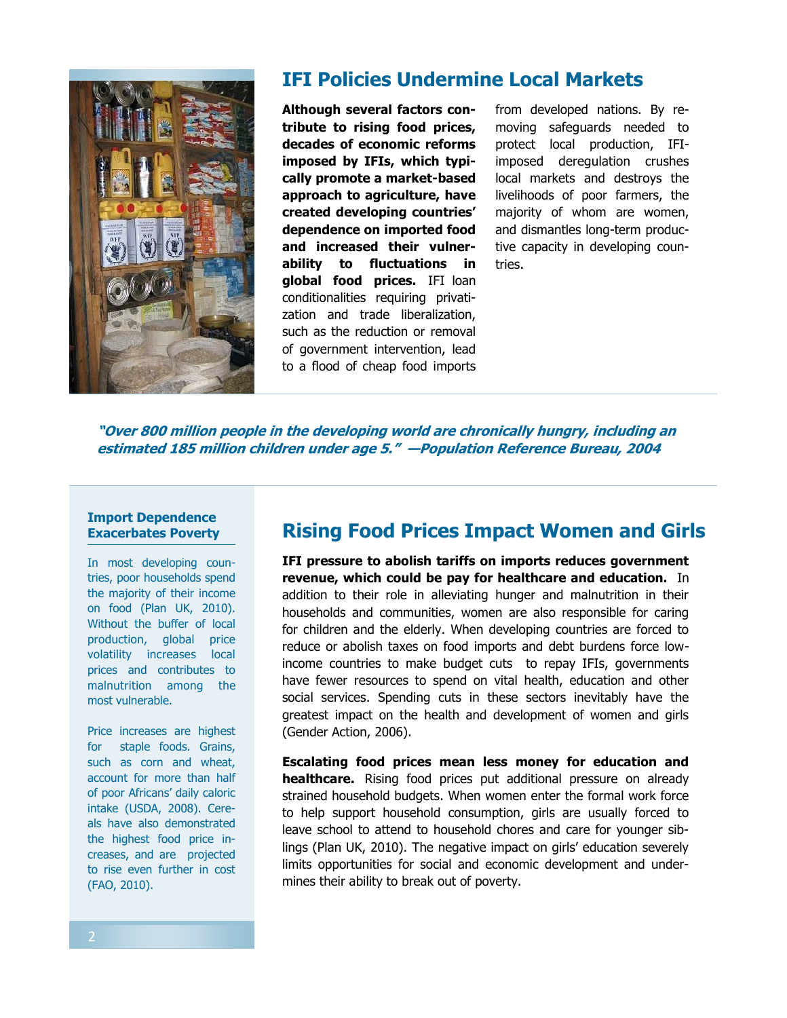

## **IFI Policies Undermine Local Markets**

**Although several factors contribute to rising food prices, decades of economic reforms imposed by IFIs, which typically promote a market-based approach to agriculture, have created developing countries' dependence on imported food and increased their vulnerability to fluctuations in global food prices.** IFI loan conditionalities requiring privatization and trade liberalization, such as the reduction or removal of government intervention, lead to a flood of cheap food imports from developed nations. By removing safeguards needed to protect local production, IFIimposed deregulation crushes local markets and destroys the livelihoods of poor farmers, the majority of whom are women, and dismantles long-term productive capacity in developing countries.

**"Over 800 million people in the developing world are chronically hungry, including an estimated 185 million children under age 5." —Population Reference Bureau, 2004**

#### **Import Dependence Exacerbates Poverty**

In most developing countries, poor households spend the majority of their income on food (Plan UK, 2010). Without the buffer of local production, global price volatility increases local prices and contributes to malnutrition among the most vulnerable.

Price increases are highest for staple foods. Grains, such as corn and wheat, account for more than half of poor Africans" daily caloric intake (USDA, 2008). Cereals have also demonstrated the highest food price increases, and are projected to rise even further in cost (FAO, 2010).

### **Rising Food Prices Impact Women and Girls**

**IFI pressure to abolish tariffs on imports reduces government revenue, which could be pay for healthcare and education.** In addition to their role in alleviating hunger and malnutrition in their households and communities, women are also responsible for caring for children and the elderly. When developing countries are forced to reduce or abolish taxes on food imports and debt burdens force lowincome countries to make budget cuts to repay IFIs, governments have fewer resources to spend on vital health, education and other social services. Spending cuts in these sectors inevitably have the greatest impact on the health and development of women and girls (Gender Action, 2006).

**Escalating food prices mean less money for education and healthcare.** Rising food prices put additional pressure on already strained household budgets. When women enter the formal work force to help support household consumption, girls are usually forced to leave school to attend to household chores and care for younger siblings (Plan UK, 2010). The negative impact on girls' education severely limits opportunities for social and economic development and undermines their ability to break out of poverty.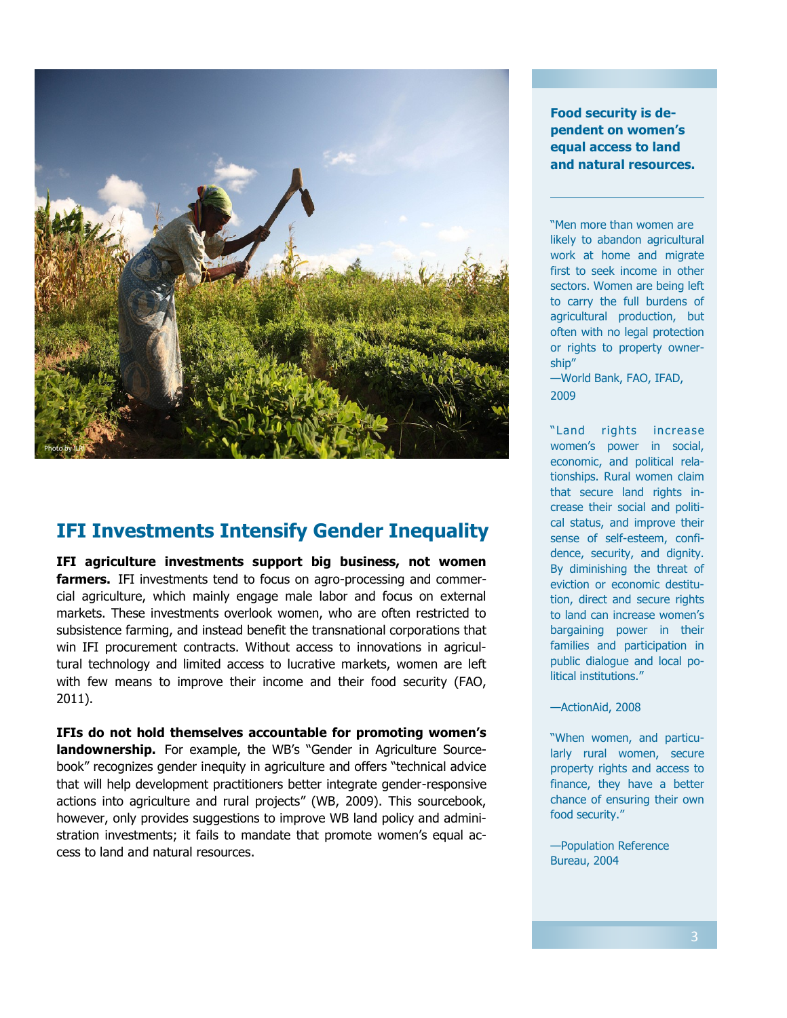

## **IFI Investments Intensify Gender Inequality**

**IFI agriculture investments support big business, not women farmers.** IFI investments tend to focus on agro-processing and commercial agriculture, which mainly engage male labor and focus on external markets. These investments overlook women, who are often restricted to subsistence farming, and instead benefit the transnational corporations that win IFI procurement contracts. Without access to innovations in agricultural technology and limited access to lucrative markets, women are left with few means to improve their income and their food security (FAO, 2011).

**IFIs do not hold themselves accountable for promoting women's landownership.** For example, the WB's "Gender in Agriculture Sourcebook" recognizes gender inequity in agriculture and offers "technical advice that will help development practitioners better integrate gender-responsive actions into agriculture and rural projects" (WB, 2009). This sourcebook, however, only provides suggestions to improve WB land policy and administration investments; it fails to mandate that promote women's equal access to land and natural resources.

**Food security is dependent on women's equal access to land and natural resources.**

"Men more than women are likely to abandon agricultural work at home and migrate first to seek income in other sectors. Women are being left to carry the full burdens of agricultural production, but often with no legal protection or rights to property ownership"

—World Bank, FAO, IFAD, 2009

"Land rights increase women's power in social, economic, and political relationships. Rural women claim that secure land rights increase their social and political status, and improve their sense of self-esteem, confidence, security, and dignity. By diminishing the threat of eviction or economic destitution, direct and secure rights to land can increase women's bargaining power in their families and participation in public dialogue and local political institutions."

—ActionAid, 2008

"When women, and particularly rural women, secure property rights and access to finance, they have a better chance of ensuring their own food security."

—Population Reference Bureau, 2004